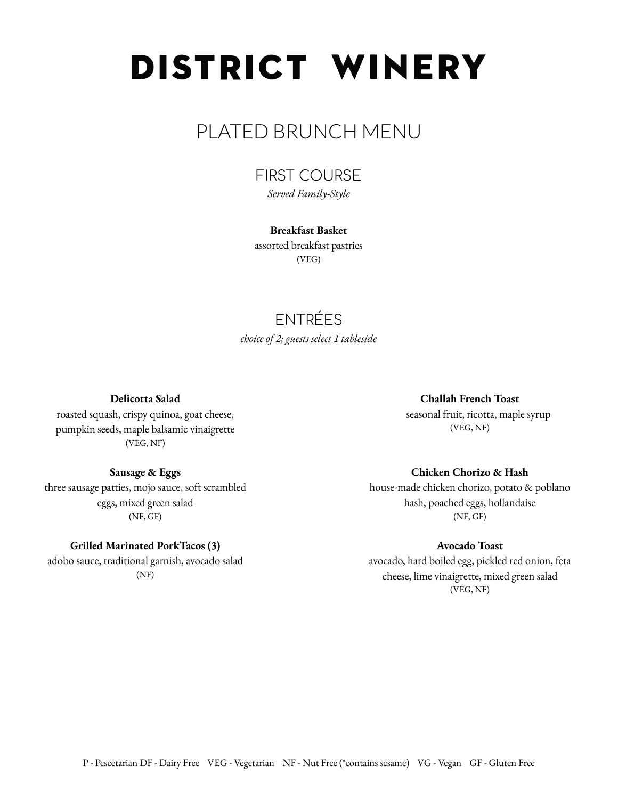# DISTRICT WINERY

## PLATED BRUNCH MENU

FIRST COURSE *Served Family-Style*

## **Breakfast Basket**

assorted breakfast pastries (VEG)

## ENTRÉES *choice of 2; guests select 1 tableside*

**Delicotta Salad**

roasted squash, crispy quinoa, goat cheese, pumpkin seeds, maple balsamic vinaigrette (VEG, NF)

**Sausage & Eggs** three sausage patties, mojo sauce, soft scrambled eggs, mixed green salad (NF, GF)

## **Grilled Marinated PorkTacos (3)**

adobo sauce, traditional garnish, avocado salad (NF)

## **Challah French Toast**

seasonal fruit, ricotta, maple syrup (VEG, NF)

### **Chicken Chorizo & Hash**

house-made chicken chorizo, potato & poblano hash, poached eggs, hollandaise (NF, GF)

#### **Avocado Toast**

avocado, hard boiled egg, pickled red onion, feta cheese, lime vinaigrette, mixed green salad (VEG, NF)